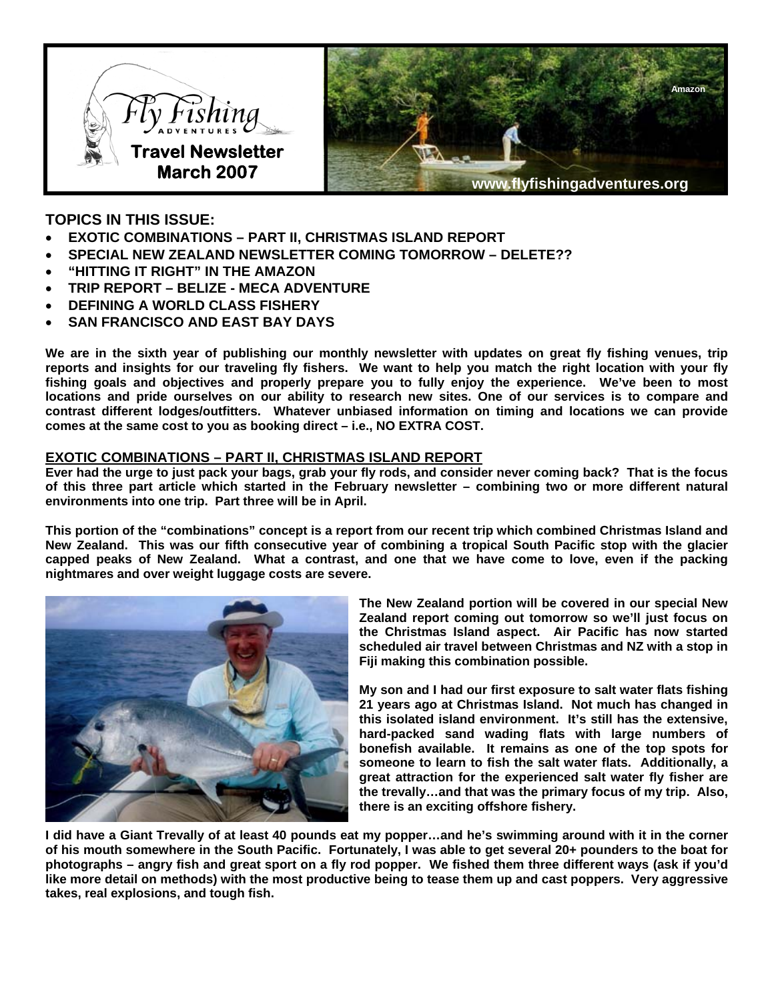



# **TOPICS IN THIS ISSUE:**

- **EXOTIC COMBINATIONS PART II, CHRISTMAS ISLAND REPORT**
- **SPECIAL NEW ZEALAND NEWSLETTER COMING TOMORROW DELETE??**
- **"HITTING IT RIGHT" IN THE AMAZON**
- **TRIP REPORT BELIZE MECA ADVENTURE**
- **DEFINING A WORLD CLASS FISHERY**
- **SAN FRANCISCO AND EAST BAY DAYS**

**We are in the sixth year of publishing our monthly newsletter with updates on great fly fishing venues, trip reports and insights for our traveling fly fishers. We want to help you match the right location with your fly fishing goals and objectives and properly prepare you to fully enjoy the experience. We've been to most locations and pride ourselves on our ability to research new sites. One of our services is to compare and contrast different lodges/outfitters. Whatever unbiased information on timing and locations we can provide comes at the same cost to you as booking direct – i.e., NO EXTRA COST.** 

### **EXOTIC COMBINATIONS – PART II, CHRISTMAS ISLAND REPORT**

**Ever had the urge to just pack your bags, grab your fly rods, and consider never coming back? That is the focus of this three part article which started in the February newsletter – combining two or more different natural environments into one trip. Part three will be in April.** 

**This portion of the "combinations" concept is a report from our recent trip which combined Christmas Island and New Zealand. This was our fifth consecutive year of combining a tropical South Pacific stop with the glacier capped peaks of New Zealand. What a contrast, and one that we have come to love, even if the packing nightmares and over weight luggage costs are severe.** 



**The New Zealand portion will be covered in our special New Zealand report coming out tomorrow so we'll just focus on the Christmas Island aspect. Air Pacific has now started scheduled air travel between Christmas and NZ with a stop in Fiji making this combination possible.** 

**My son and I had our first exposure to salt water flats fishing 21 years ago at Christmas Island. Not much has changed in this isolated island environment. It's still has the extensive, hard-packed sand wading flats with large numbers of bonefish available. It remains as one of the top spots for someone to learn to fish the salt water flats. Additionally, a great attraction for the experienced salt water fly fisher are the trevally…and that was the primary focus of my trip. Also, there is an exciting offshore fishery.** 

**I did have a Giant Trevally of at least 40 pounds eat my popper…and he's swimming around with it in the corner of his mouth somewhere in the South Pacific. Fortunately, I was able to get several 20+ pounders to the boat for photographs – angry fish and great sport on a fly rod popper. We fished them three different ways (ask if you'd like more detail on methods) with the most productive being to tease them up and cast poppers. Very aggressive takes, real explosions, and tough fish.**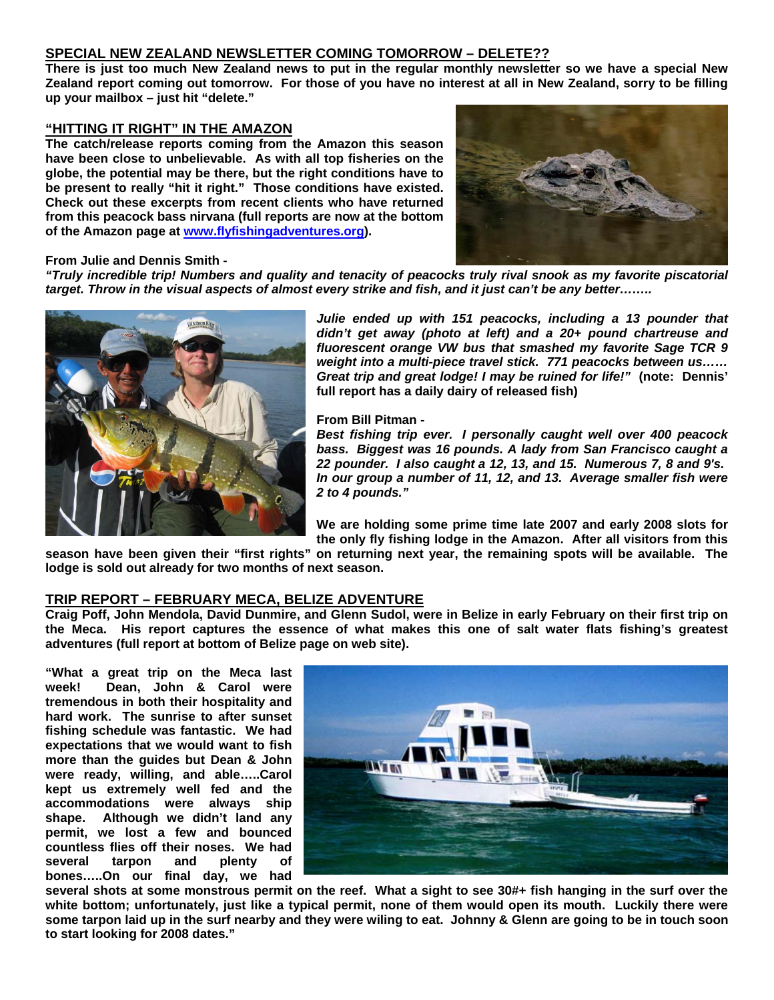### **SPECIAL NEW ZEALAND NEWSLETTER COMING TOMORROW – DELETE??**

**There is just too much New Zealand news to put in the regular monthly newsletter so we have a special New Zealand report coming out tomorrow. For those of you have no interest at all in New Zealand, sorry to be filling up your mailbox – just hit "delete."** 

### **"HITTING IT RIGHT" IN THE AMAZON**

**The catch/release reports coming from the Amazon this season have been close to unbelievable. As with all top fisheries on the globe, the potential may be there, but the right conditions have to be present to really "hit it right." Those conditions have existed. Check out these excerpts from recent clients who have returned from this peacock bass nirvana (full reports are now at the bottom of the Amazon page at [www.flyfishingadventures.org](http://www.flyfishingadventures.org/)).** 



#### **From Julie and Dennis Smith -**

*"Truly incredible trip! Numbers and quality and tenacity of peacocks truly rival snook as my favorite piscatorial target. Throw in the visual aspects of almost every strike and fish, and it just can't be any better……..* 



*Julie ended up with 151 peacocks, including a 13 pounder that didn't get away (photo at left) and a 20+ pound chartreuse and fluorescent orange VW bus that smashed my favorite Sage TCR 9 weight into a multi-piece travel stick. 771 peacocks between us…… Great trip and great lodge! I may be ruined for life!"* **(note: Dennis' full report has a daily dairy of released fish)**

**From Bill Pitman -**

*Best fishing trip ever. I personally caught well over 400 peacock bass. Biggest was 16 pounds. A lady from San Francisco caught a 22 pounder. I also caught a 12, 13, and 15. Numerous 7, 8 and 9's. In our group a number of 11, 12, and 13. Average smaller fish were 2 to 4 pounds."*

**We are holding some prime time late 2007 and early 2008 slots for the only fly fishing lodge in the Amazon. After all visitors from this** 

**season have been given their "first rights" on returning next year, the remaining spots will be available. The lodge is sold out already for two months of next season.** 

### **TRIP REPORT – FEBRUARY MECA, BELIZE ADVENTURE**

**Craig Poff, John Mendola, David Dunmire, and Glenn Sudol, were in Belize in early February on their first trip on the Meca. His report captures the essence of what makes this one of salt water flats fishing's greatest adventures (full report at bottom of Belize page on web site).** 

**"What a great trip on the Meca last week! Dean, John & Carol were tremendous in both their hospitality and hard work. The sunrise to after sunset fishing schedule was fantastic. We had expectations that we would want to fish more than the guides but Dean & John were ready, willing, and able…..Carol kept us extremely well fed and the accommodations were always ship shape. Although we didn't land any permit, we lost a few and bounced countless flies off their noses. We had several tarpon and plenty of bones…..On our final day, we had** 



**several shots at some monstrous permit on the reef. What a sight to see 30#+ fish hanging in the surf over the white bottom; unfortunately, just like a typical permit, none of them would open its mouth. Luckily there were some tarpon laid up in the surf nearby and they were wiling to eat. Johnny & Glenn are going to be in touch soon to start looking for 2008 dates."**